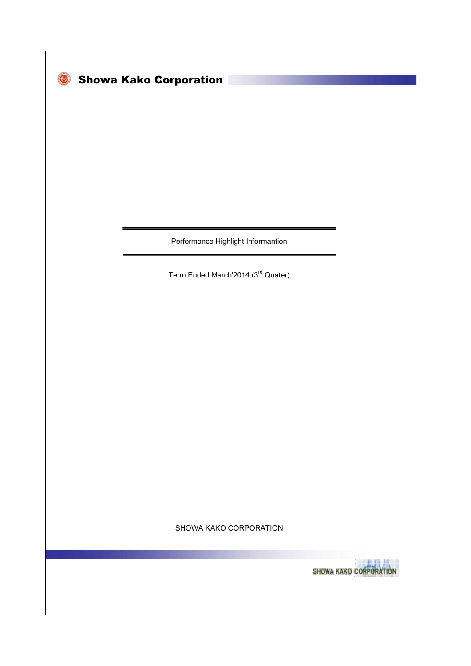| <b>Showa Kako Corporation</b>      |                         |
|------------------------------------|-------------------------|
|                                    |                         |
|                                    |                         |
|                                    |                         |
|                                    |                         |
|                                    |                         |
|                                    |                         |
| Performance Highlight Informantion |                         |
| Term Ended March'2014 (3rd Quater) |                         |
|                                    |                         |
|                                    |                         |
|                                    |                         |
|                                    |                         |
|                                    |                         |
|                                    |                         |
|                                    |                         |
|                                    |                         |
|                                    |                         |
| SHOWA KAKO CORPORATION             |                         |
|                                    | <b>SHOWA KAKO CORPO</b> |
|                                    |                         |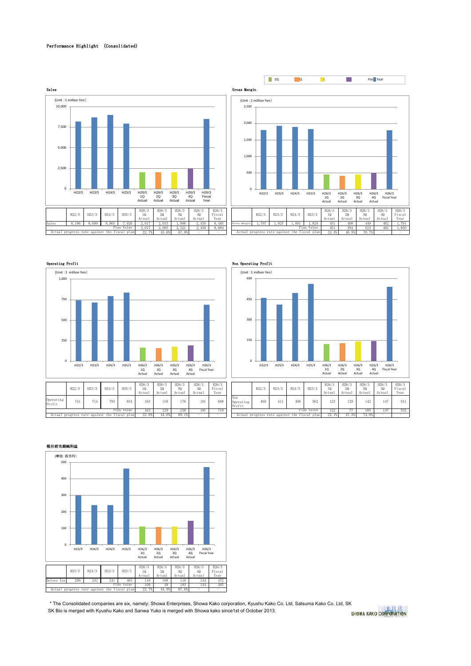### Performance Highlight (Consolidated)









| .6/3<br>10<br>tual | H26/3<br>20<br>Actual | H26/3<br>30<br>Actual | H26/3<br>40<br>Actual | H26/3<br>Fiscal<br>Year |                            | H22/3                                        | H23/3 | H24/3 | H25/3        | H26/3<br>10<br>Actual | H26/3<br>20<br>Actual | H26/3<br>30<br>Actual | H26/3<br>40<br>Actual | H26/3<br>Fiscal<br>Year |
|--------------------|-----------------------|-----------------------|-----------------------|-------------------------|----------------------------|----------------------------------------------|-------|-------|--------------|-----------------------|-----------------------|-----------------------|-----------------------|-------------------------|
| 163                | 158                   | 176                   | 191                   | 688                     | Non<br>Operating<br>Profit | 460                                          | 411   | 496   | 562<br>Value | 123                   | 128                   | 142                   | 147                   | 541                     |
| 163                | 129                   | 236                   | 191                   | 719                     |                            |                                              | 122   | 77    | 185          | 147                   | 532                   |                       |                       |                         |
| 22.6%              | 44.6%                 | 69.1%                 | -                     |                         |                            | Actual progress rate against the fiscal plan |       |       |              | 23.                   | 47.3%                 | 74.0%                 | -                     |                         |

### 税引前当期純利益



 SK Bio is merged with Kyushu Kako and Sanwa Yuko is merged with Showa kako since1st of October 2013. \* The Consolidated companies are six, namely: Showa Enterprises, Showa Kako corporation, Kyushu Kako Co. Ltd, Satsuma Kako Co. Ltd, SK

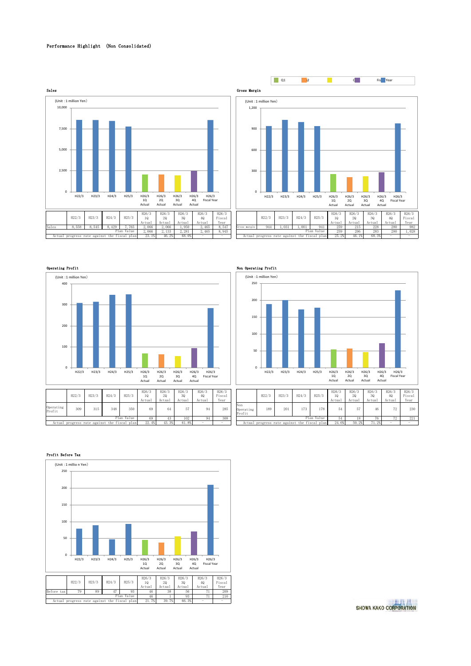# Performance Highlight (Non Consolidated)







|                     | H22/3                                 | H23/3 | H24/3 | H25/3      | H26/3<br>10<br>Actual | H26/3<br>20<br>Actual | H26/3<br>30<br>Actual | H26/3<br>40<br>Actual | H26/3<br>Fiscal<br>Year |
|---------------------|---------------------------------------|-------|-------|------------|-----------------------|-----------------------|-----------------------|-----------------------|-------------------------|
| Operating<br>Profit | 309                                   | 315   | 348   | 350        | 69                    | 64                    | 57                    | 94                    | 285                     |
|                     |                                       |       |       | Plan Value | 69                    | 43                    | 102                   | 94                    | 308                     |
| Actual              | progress rate against the fiscal plan |       |       |            | 22.4%                 | 43.3%                 | 61.8%                 |                       |                         |

# $\overline{0}$ 50 100 150 200 250 H22/3 H23/3 H24/3 H25/3 H26/3 1Q Actual H26/3 2Q Actual H26/3 3Q Actual H26/3 4Q Actual H26/3 Fiscal Year (Unit :1 million Yen)

| 6/3<br>tual | H26/3<br>20<br>Actual | H26/3<br>30<br>Actual | H26/3<br>40<br>Actual | H26/3<br>Fiscal<br>Year |                            | H22/3                                        | H23/3 | H24/3 | H25/3 | H26/3<br>10<br>Actual | H26/3<br>20<br>Actual | H26/3<br>30<br>Actual | H26/3<br>40<br>Actual    | H26/3<br>Fiscal<br>Year |
|-------------|-----------------------|-----------------------|-----------------------|-------------------------|----------------------------|----------------------------------------------|-------|-------|-------|-----------------------|-----------------------|-----------------------|--------------------------|-------------------------|
| 69          | 64                    | 57                    | 94                    | 285                     | Non<br>Operating<br>Profit | 189                                          | 201   | 173   | 178   | 54                    | 57                    | 46                    | 70                       | 230                     |
| 69          | 43                    | 102                   | 94                    | 308                     |                            | Plan Value                                   |       |       |       |                       |                       | 76                    | 72                       | 221                     |
| 22.4%       | 43.3%                 | 61.8%                 |                       |                         |                            | Actual progress rate against the fiscal plan |       |       |       | 24.6%                 | 50.2%                 | 71.2%                 | $\overline{\phantom{a}}$ |                         |

### Profit Before Tax